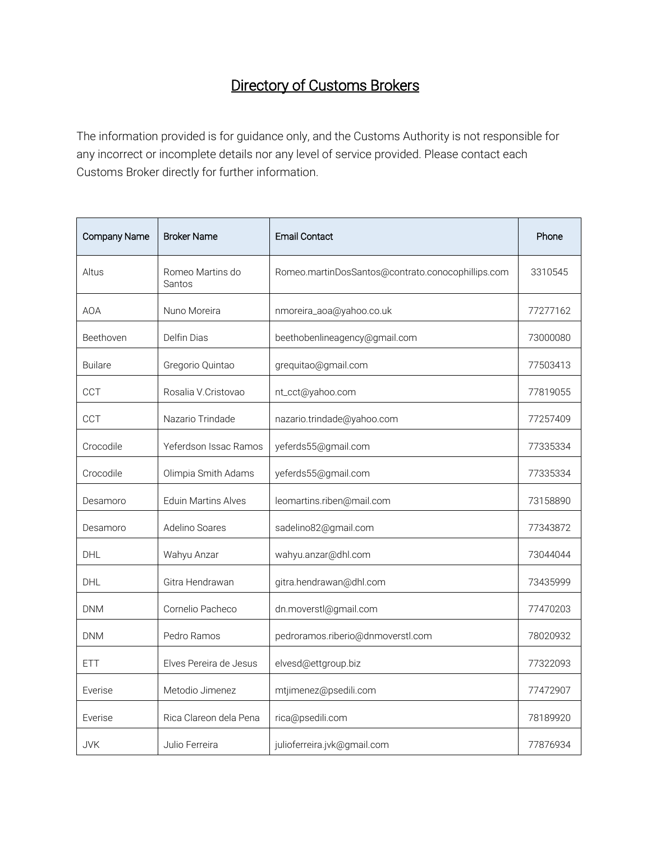## Directory of Customs Brokers

The information provided is for guidance only, and the Customs Authority is not responsible for any incorrect or incomplete details nor any level of service provided. Please contact each Customs Broker directly for further information.

| Company Name   | <b>Broker Name</b>         | <b>Email Contact</b>                              | Phone    |
|----------------|----------------------------|---------------------------------------------------|----------|
| Altus          | Romeo Martins do<br>Santos | Romeo.martinDosSantos@contrato.conocophillips.com | 3310545  |
| <b>AOA</b>     | Nuno Moreira               | nmoreira_aoa@yahoo.co.uk                          | 77277162 |
| Beethoven      | Delfin Dias                | beethobenlineagency@gmail.com                     | 73000080 |
| <b>Builare</b> | Gregorio Quintao           | grequitao@gmail.com                               | 77503413 |
| <b>CCT</b>     | Rosalia V.Cristovao        | nt_cct@yahoo.com                                  | 77819055 |
| CCT            | Nazario Trindade           | nazario.trindade@yahoo.com                        | 77257409 |
| Crocodile      | Yeferdson Issac Ramos      | yeferds55@gmail.com                               | 77335334 |
| Crocodile      | Olimpia Smith Adams        | yeferds55@gmail.com                               | 77335334 |
| Desamoro       | <b>Eduin Martins Alves</b> | leomartins.riben@mail.com                         | 73158890 |
| Desamoro       | Adelino Soares             | sadelino82@gmail.com                              | 77343872 |
| <b>DHL</b>     | Wahyu Anzar                | wahyu.anzar@dhl.com                               | 73044044 |
| <b>DHL</b>     | Gitra Hendrawan            | gitra.hendrawan@dhl.com                           | 73435999 |
| <b>DNM</b>     | Cornelio Pacheco           | dn.moverstl@gmail.com                             | 77470203 |
| <b>DNM</b>     | Pedro Ramos                | pedroramos.riberio@dnmoverstl.com                 | 78020932 |
| <b>ETT</b>     | Elves Pereira de Jesus     | elvesd@ettgroup.biz                               | 77322093 |
| Everise        | Metodio Jimenez            | mtjimenez@psedili.com                             | 77472907 |
| Everise        | Rica Clareon dela Pena     | rica@psedili.com                                  | 78189920 |
| <b>JVK</b>     | Julio Ferreira             | julioferreira.jvk@gmail.com                       | 77876934 |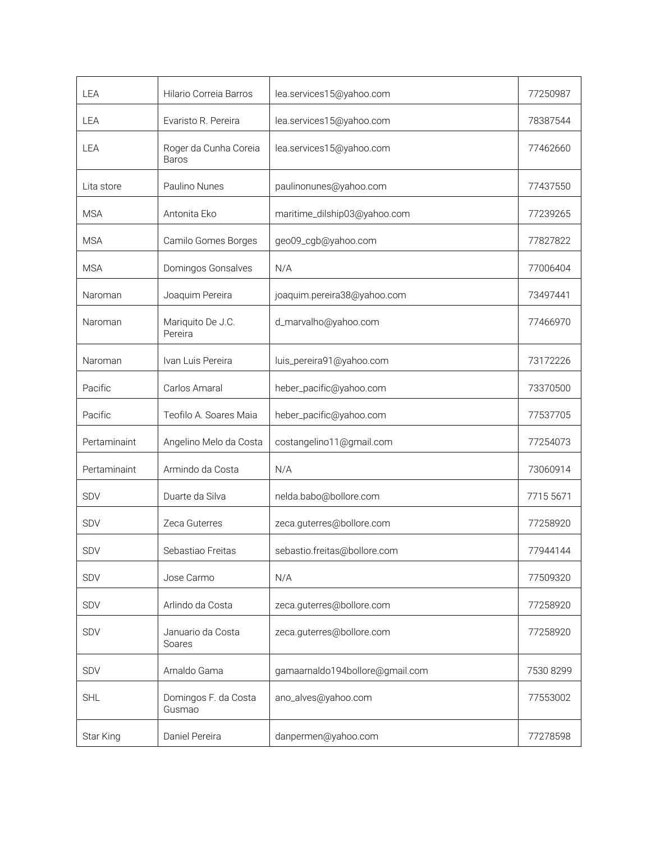| LEA          | Hilario Correia Barros         | lea.services15@yahoo.com        | 77250987  |
|--------------|--------------------------------|---------------------------------|-----------|
| LEA          | Evaristo R. Pereira            | lea.services15@yahoo.com        | 78387544  |
| LEA          | Roger da Cunha Coreia<br>Baros | lea.services15@yahoo.com        | 77462660  |
| Lita store   | Paulino Nunes                  | paulinonunes@yahoo.com          | 77437550  |
| <b>MSA</b>   | Antonita Eko                   | maritime_dilship03@yahoo.com    | 77239265  |
| <b>MSA</b>   | Camilo Gomes Borges            | geo09_cgb@yahoo.com             | 77827822  |
| <b>MSA</b>   | Domingos Gonsalves             | N/A                             | 77006404  |
| Naroman      | Joaquim Pereira                | joaquim.pereira38@yahoo.com     | 73497441  |
| Naroman      | Mariquito De J.C.<br>Pereira   | d_marvalho@yahoo.com            | 77466970  |
| Naroman      | Ivan Luis Pereira              | luis_pereira91@yahoo.com        | 73172226  |
| Pacific      | Carlos Amaral                  | heber_pacific@yahoo.com         | 73370500  |
| Pacific      | Teofilo A. Soares Maia         | heber_pacific@yahoo.com         | 77537705  |
| Pertaminaint | Angelino Melo da Costa         | costangelino11@gmail.com        | 77254073  |
| Pertaminaint | Armindo da Costa               | N/A                             | 73060914  |
| <b>SDV</b>   | Duarte da Silva                | nelda.babo@bollore.com          | 7715 5671 |
| <b>SDV</b>   | Zeca Guterres                  | zeca.guterres@bollore.com       | 77258920  |
| <b>SDV</b>   | Sebastiao Freitas              | sebastio.freitas@bollore.com    | 77944144  |
| SDV          | Jose Carmo                     | N/A                             | 77509320  |
| <b>SDV</b>   | Arlindo da Costa               | zeca.guterres@bollore.com       | 77258920  |
| <b>SDV</b>   | Januario da Costa<br>Soares    | zeca.guterres@bollore.com       | 77258920  |
| SDV          | Arnaldo Gama                   | gamaarnaldo194bollore@gmail.com | 7530 8299 |
| <b>SHL</b>   | Domingos F. da Costa<br>Gusmao | ano_alves@yahoo.com             | 77553002  |
| Star King    | Daniel Pereira                 | danpermen@yahoo.com             | 77278598  |